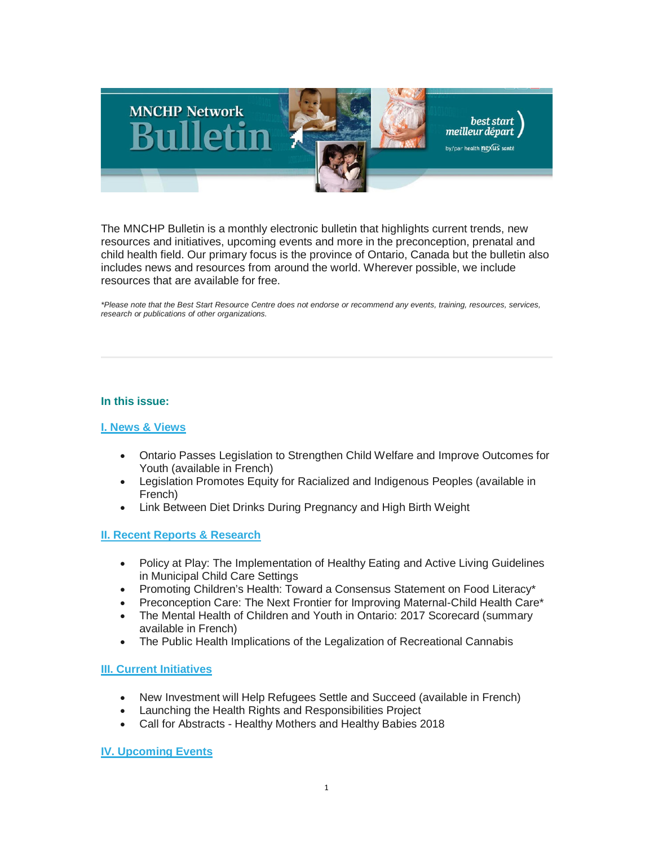

The MNCHP Bulletin is a monthly electronic bulletin that highlights current trends, new resources and initiatives, upcoming events and more in the preconception, prenatal and child health field. Our primary focus is the province of Ontario, Canada but the bulletin also includes news and resources from around the world. Wherever possible, we include resources that are available for free.

*\*Please note that the Best Start Resource Centre does not endorse or recommend any events, training, resources, services, research or publications of other organizations.*

## **In this issue:**

## **[I. News & Views](#page-1-0)**

- Ontario Passes Legislation to Strengthen Child Welfare and Improve Outcomes for Youth (available in French)
- Legislation Promotes Equity for Racialized and Indigenous Peoples (available in French)
- Link Between Diet Drinks During Pregnancy and High Birth Weight

## **[II. Recent Reports & Research](#page-2-0)**

- Policy at Play: The Implementation of Healthy Eating and Active Living Guidelines in Municipal Child Care Settings
- Promoting Children's Health: Toward a Consensus Statement on Food Literacy\*
- Preconception Care: The Next Frontier for Improving Maternal-Child Health Care\*
- The Mental Health of Children and Youth in Ontario: 2017 Scorecard (summary available in French)
- The Public Health Implications of the Legalization of Recreational Cannabis

## **[III. Current Initiatives](#page-4-0)**

- New Investment will Help Refugees Settle and Succeed (available in French)
- Launching the Health Rights and Responsibilities Project
- Call for Abstracts Healthy Mothers and Healthy Babies 2018

**[IV. Upcoming Events](#page-5-0)**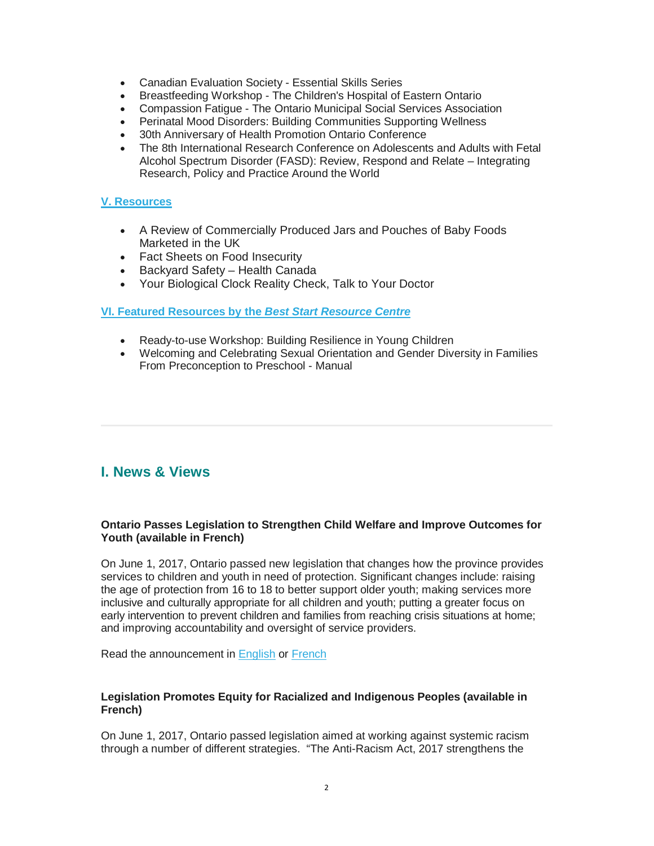- Canadian Evaluation Society Essential Skills Series
- Breastfeeding Workshop The Children's Hospital of Eastern Ontario
- Compassion Fatigue The Ontario Municipal Social Services Association
- Perinatal Mood Disorders: Building Communities Supporting Wellness
- 30th Anniversary of Health Promotion Ontario Conference
- The 8th International Research Conference on Adolescents and Adults with Fetal Alcohol Spectrum Disorder (FASD): Review, Respond and Relate – Integrating Research, Policy and Practice Around the World

# **[V. Resources](#page-7-0)**

- A Review of Commercially Produced Jars and Pouches of Baby Foods Marketed in the UK
- Fact Sheets on Food Insecurity
- Backyard Safety Health Canada
- Your Biological Clock Reality Check, Talk to Your Doctor

### **VI. [Featured Resources by the](#page-8-0)** *Best Start Resource Centre*

- Ready-to-use Workshop: Building Resilience in Young Children
- Welcoming and Celebrating Sexual Orientation and Gender Diversity in Families From Preconception to Preschool - Manual

# <span id="page-1-0"></span>**I. News & Views**

## **Ontario Passes Legislation to Strengthen Child Welfare and Improve Outcomes for Youth (available in French)**

On June 1, 2017, Ontario passed new legislation that changes how the province provides services to children and youth in need of protection. Significant changes include: raising the age of protection from 16 to 18 to better support older youth; making services more inclusive and culturally appropriate for all children and youth; putting a greater focus on early intervention to prevent children and families from reaching crisis situations at home; and improving accountability and oversight of service providers.

Read the announcement in [English](https://news.ontario.ca/mcys/en/2017/06/ontario-passes-legislation-to-strengthen-child-welfare-and-improve-outcomes-for-youth.html?utm_source=ondemand&utm_medium=email&utm_campaign=p) or [French](https://news.ontario.ca/mcys/fr/2017/06/lontario-adopte-une-legislation-pour-renforcer-le-bien-etre-de-lenfance-et-ameliorer-les-resultats-p.html)

### **Legislation Promotes Equity for Racialized and Indigenous Peoples (available in French)**

On June 1, 2017, Ontario passed legislation aimed at working against systemic racism through a number of different strategies. "The Anti-Racism Act, 2017 strengthens the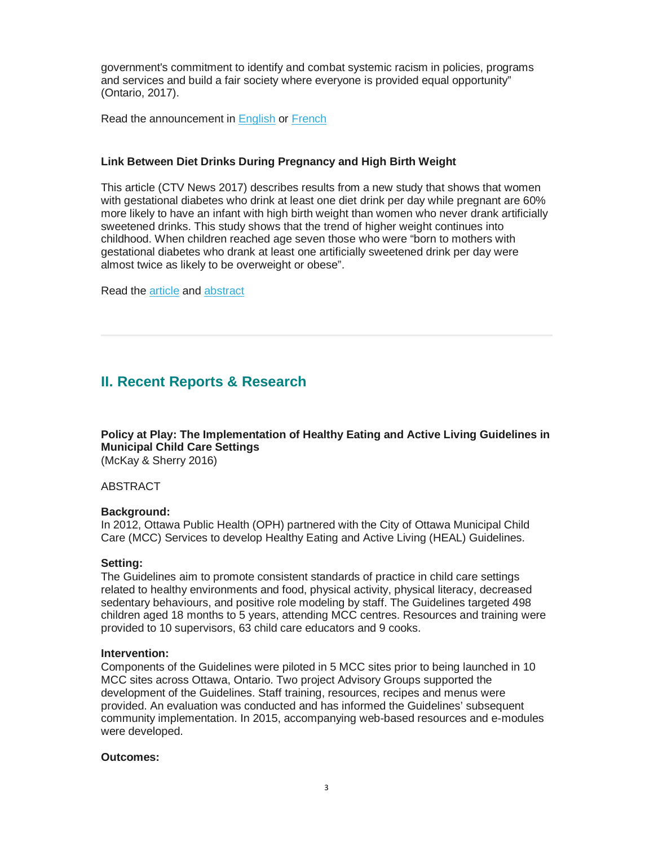government's commitment to identify and combat systemic racism in policies, programs and services and build a fair society where everyone is provided equal opportunity" (Ontario, 2017).

Read the announcement in [English](https://news.ontario.ca/ard/en/2017/06/ontario-passes-anti-racism-legislation.html) or [French](https://news.ontario.ca/ard/fr/2017/06/lontario-adopte-la-loi-contre-le-racisme.html)

# **Link Between Diet Drinks During Pregnancy and High Birth Weight**

This article (CTV News 2017) describes results from a new study that shows that women with gestational diabetes who drink at least one diet drink per day while pregnant are 60% more likely to have an infant with high birth weight than women who never drank artificially sweetened drinks. This study shows that the trend of higher weight continues into childhood. When children reached age seven those who were "born to mothers with gestational diabetes who drank at least one artificially sweetened drink per day were almost twice as likely to be overweight or obese".

Read the [article](http://www.ctvnews.ca/health/study-suggests-link-between-diet-drinks-during-pregnancy-and-high-birth-weight-1.3447933) and [abstract](http://www.fasebj.org/content/31/1_Supplement/457.1)

# <span id="page-2-0"></span>**II. Recent Reports & Research**

**Policy at Play: The Implementation of Healthy Eating and Active Living Guidelines in Municipal Child Care Settings** (McKay & Sherry 2016)

ABSTRACT

## **Background:**

In 2012, Ottawa Public Health (OPH) partnered with the City of Ottawa Municipal Child Care (MCC) Services to develop Healthy Eating and Active Living (HEAL) Guidelines.

#### **Setting:**

The Guidelines aim to promote consistent standards of practice in child care settings related to healthy environments and food, physical activity, physical literacy, decreased sedentary behaviours, and positive role modeling by staff. The Guidelines targeted 498 children aged 18 months to 5 years, attending MCC centres. Resources and training were provided to 10 supervisors, 63 child care educators and 9 cooks.

#### **Intervention:**

Components of the Guidelines were piloted in 5 MCC sites prior to being launched in 10 MCC sites across Ottawa, Ontario. Two project Advisory Groups supported the development of the Guidelines. Staff training, resources, recipes and menus were provided. An evaluation was conducted and has informed the Guidelines' subsequent community implementation. In 2015, accompanying web-based resources and e-modules were developed.

### **Outcomes:**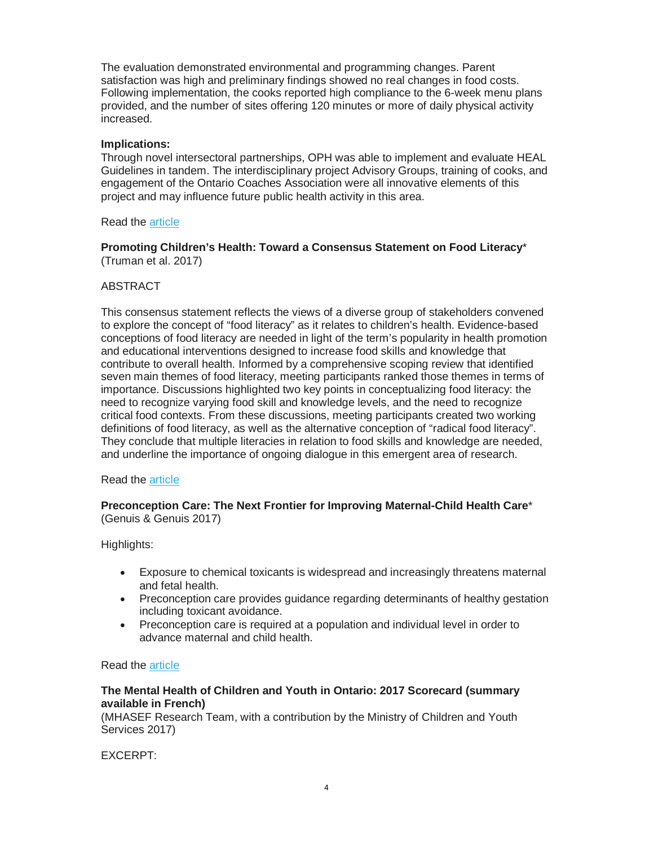The evaluation demonstrated environmental and programming changes. Parent satisfaction was high and preliminary findings showed no real changes in food costs. Following implementation, the cooks reported high compliance to the 6-week menu plans provided, and the number of sites offering 120 minutes or more of daily physical activity increased.

### **Implications:**

Through novel intersectoral partnerships, OPH was able to implement and evaluate HEAL Guidelines in tandem. The interdisciplinary project Advisory Groups, training of cooks, and engagement of the Ontario Coaches Association were all innovative elements of this project and may influence future public health activity in this area.

### Read the [article](https://journal.cpha.ca/index.php/cjph/article/view/5561/3534)

### **Promoting Children's Health: Toward a Consensus Statement on Food Literacy**\* (Truman et al. 2017)

## ABSTRACT

This consensus statement reflects the views of a diverse group of stakeholders convened to explore the concept of "food literacy" as it relates to children's health. Evidence-based conceptions of food literacy are needed in light of the term's popularity in health promotion and educational interventions designed to increase food skills and knowledge that contribute to overall health. Informed by a comprehensive scoping review that identified seven main themes of food literacy, meeting participants ranked those themes in terms of importance. Discussions highlighted two key points in conceptualizing food literacy: the need to recognize varying food skill and knowledge levels, and the need to recognize critical food contexts. From these discussions, meeting participants created two working definitions of food literacy, as well as the alternative conception of "radical food literacy". They conclude that multiple literacies in relation to food skills and knowledge are needed, and underline the importance of ongoing dialogue in this emergent area of research.

#### Read the [article](https://journal.cpha.ca/index.php/cjph/article/view/5909)

## **Preconception Care: The Next Frontier for Improving Maternal-Child Health Care**\* (Genuis & Genuis 2017)

Highlights:

- Exposure to chemical toxicants is widespread and increasingly threatens maternal and fetal health.
- Preconception care provides guidance regarding determinants of healthy gestation including toxicant avoidance.
- Preconception care is required at a population and individual level in order to advance maternal and child health.

#### Read the [article](http://www.publichealthjrnl.com/article/S0033-3506(17)30129-4/abstract)

## **The Mental Health of Children and Youth in Ontario: 2017 Scorecard (summary available in French)**

(MHASEF Research Team, with a contribution by the Ministry of Children and Youth Services 2017)

EXCERPT: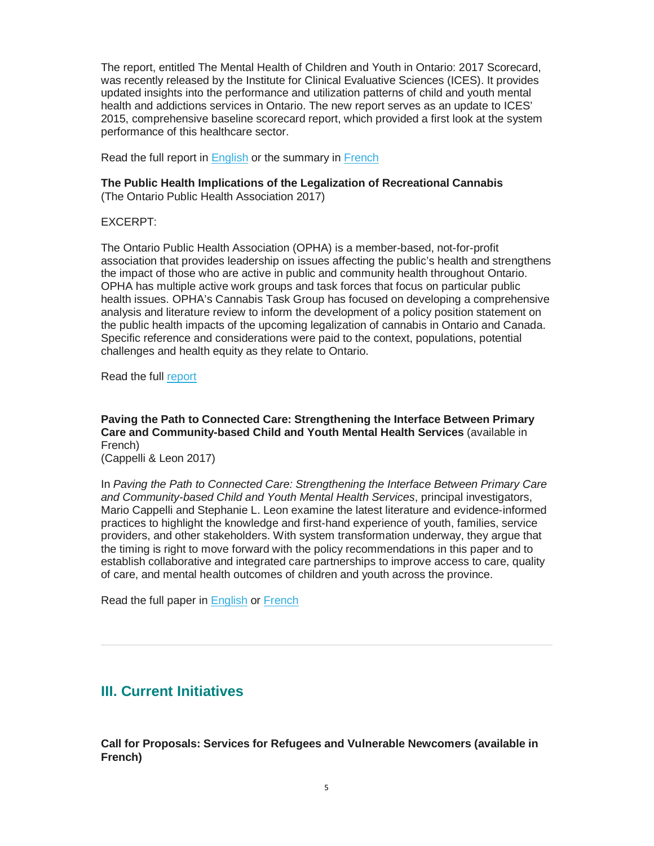The report, entitled The Mental Health of Children and Youth in Ontario: 2017 Scorecard, was recently released by the Institute for Clinical Evaluative Sciences (ICES). It provides updated insights into the performance and utilization patterns of child and youth mental health and addictions services in Ontario. The new report serves as an update to ICES' 2015, comprehensive baseline scorecard report, which provided a first look at the system performance of this healthcare sector.

Read the full report in [English](https://www.ices.on.ca/Publications/%7E/link.aspx?_id=3B3FBE0377F2497790A362890278D5F5&_z=z) or the summary in [French](https://www.ices.on.ca/%7E/media/Files/Atlases-Reports/2017/MHASEF/Sommaire.ashx)

# **The Public Health Implications of the Legalization of Recreational Cannabis**

(The Ontario Public Health Association 2017)

EXCERPT:

The Ontario Public Health Association (OPHA) is a member-based, not-for-profit association that provides leadership on issues affecting the public's health and strengthens the impact of those who are active in public and community health throughout Ontario. OPHA has multiple active work groups and task forces that focus on particular public health issues. OPHA's Cannabis Task Group has focused on developing a comprehensive analysis and literature review to inform the development of a policy position statement on the public health impacts of the upcoming legalization of cannabis in Ontario and Canada. Specific reference and considerations were paid to the context, populations, potential challenges and health equity as they relate to Ontario.

Read the full [report](http://opha.on.ca/getmedia/6b05a6bc-bac2-4c92-af18-62b91a003b1b/The-Public-Health-Implications-of-the-Legalization-of-Recreational-Cannabis.pdf.aspx?ext=.pdf)

**Paving the Path to Connected Care: Strengthening the Interface Between Primary Care and Community-based Child and Youth Mental Health Services** (available in French)

(Cappelli & Leon 2017)

In *Paving the Path to Connected Care: Strengthening the Interface Between Primary Care and Community-based Child and Youth Mental Health Services*, principal investigators, Mario Cappelli and Stephanie L. Leon examine the latest literature and evidence-informed practices to highlight the knowledge and first-hand experience of youth, families, service providers, and other stakeholders. With system transformation underway, they argue that the timing is right to move forward with the policy recommendations in this paper and to establish collaborative and integrated care partnerships to improve access to care, quality of care, and mental health outcomes of children and youth across the province.

Read the full paper in [English](http://www.excellenceforchildandyouth.ca/blog/paving-path-connected-care) or [French](http://www.excellencepourenfantsados.ca/blog/ouvrir-la-voie-aux-soins-connectes)

# <span id="page-4-0"></span>**III. Current Initiatives**

**Call for Proposals: Services for Refugees and Vulnerable Newcomers (available in French)**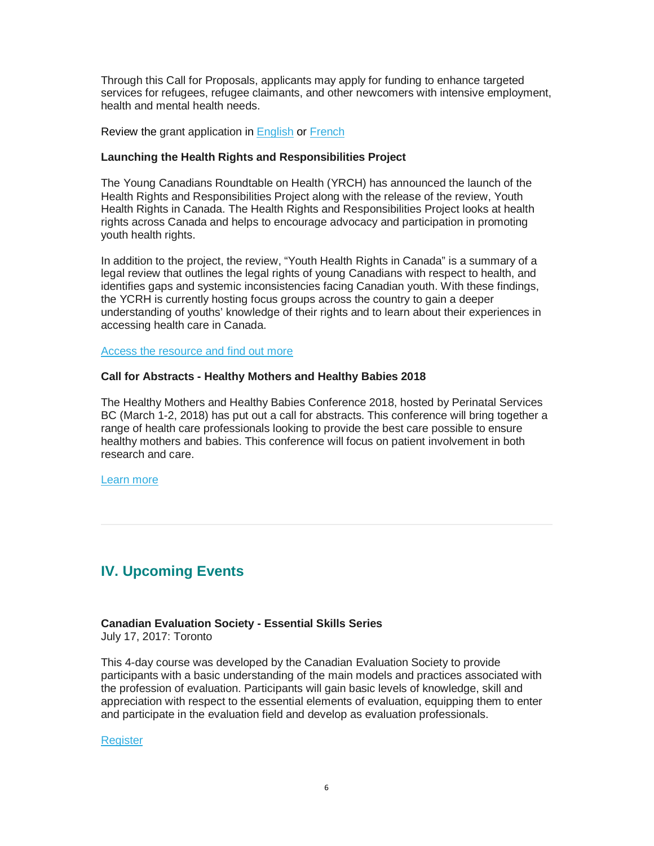Through this Call for Proposals, applicants may apply for funding to enhance targeted services for refugees, refugee claimants, and other newcomers with intensive employment, health and mental health needs.

Review the grant application in [English](http://www.grants.gov.on.ca/GrantsPortal/en/OntarioGrants/GrantsHome/index.htm) or [French](http://www.grants.gov.on.ca/GrantsPortal/fr/OntarioGrants/GrantsHome/index.htm)

### **Launching the Health Rights and Responsibilities Project**

The Young Canadians Roundtable on Health (YRCH) has announced the launch of the Health Rights and Responsibilities Project along with the release of the review, Youth Health Rights in Canada. The Health Rights and Responsibilities Project looks at health rights across Canada and helps to encourage advocacy and participation in promoting youth health rights.

In addition to the project, the review, "Youth Health Rights in Canada" is a summary of a legal review that outlines the legal rights of young Canadians with respect to health, and identifies gaps and systemic inconsistencies facing Canadian youth. With these findings, the YCRH is currently hosting focus groups across the country to gain a deeper understanding of youths' knowledge of their rights and to learn about their experiences in accessing health care in Canada.

[Access the resource and find out more](http://www.ohpe.ca/node/18597)

### **Call for Abstracts - Healthy Mothers and Healthy Babies 2018**

The Healthy Mothers and Healthy Babies Conference 2018, hosted by Perinatal Services BC (March 1-2, 2018) has put out a call for abstracts. This conference will bring together a range of health care professionals looking to provide the best care possible to ensure healthy mothers and babies. This conference will focus on patient involvement in both research and care.

[Learn more](http://interprofessional.ubc.ca/initiatives/hmhb2018/call-for-abstracts/)

# <span id="page-5-0"></span>**IV. Upcoming Events**

# **Canadian Evaluation Society - Essential Skills Series**

July 17, 2017: Toronto

This 4-day course was developed by the Canadian Evaluation Society to provide participants with a basic understanding of the main models and practices associated with the profession of evaluation. Participants will gain basic levels of knowledge, skill and appreciation with respect to the essential elements of evaluation, equipping them to enter and participate in the evaluation field and develop as evaluation professionals.

[Register](https://www.eventbrite.ca/e/essential-skills-series-july-2017-tickets-34221924698?aff=es2)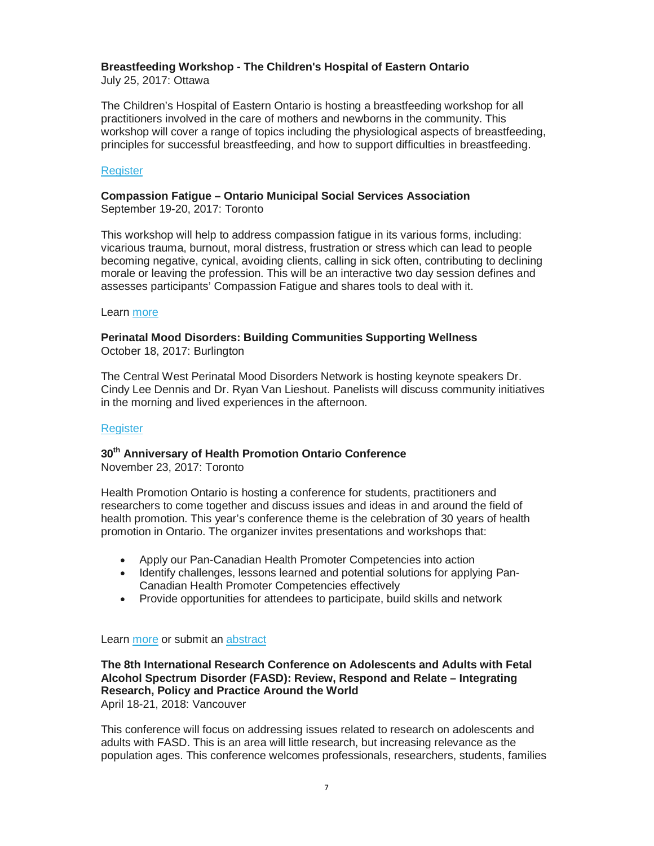# **Breastfeeding Workshop - The Children's Hospital of Eastern Ontario**

July 25, 2017: Ottawa

The Children's Hospital of Eastern Ontario is hosting a breastfeeding workshop for all practitioners involved in the care of mothers and newborns in the community. This workshop will cover a range of topics including the physiological aspects of breastfeeding, principles for successful breastfeeding, and how to support difficulties in breastfeeding.

# **[Register](https://cmnrp.simplesignup.ca/en/2465/index.php?m=eventSummary)**

### **Compassion Fatigue – Ontario Municipal Social Services Association** September 19-20, 2017: Toronto

This workshop will help to address compassion fatigue in its various forms, including: vicarious trauma, burnout, moral distress, frustration or stress which can lead to people becoming negative, cynical, avoiding clients, calling in sick often, contributing to declining morale or leaving the profession. This will be an interactive two day session defines and assesses participants' Compassion Fatigue and shares tools to deal with it.

## Learn [more](https://omssa.com/education/event-doc/?EventId=836d7e93-8346-e511-959c-001dd8b71fab)

## **Perinatal Mood Disorders: Building Communities Supporting Wellness** October 18, 2017: Burlington

The Central West Perinatal Mood Disorders Network is hosting keynote speakers Dr. Cindy Lee Dennis and Dr. Ryan Van Lieshout. Panelists will discuss community initiatives in the morning and lived experiences in the afternoon.

## **[Register](https://www.eventbrite.ca/e/perinatal-mood-disorders-building-communities-supporting-wellness-tickets-33258237283)**

# **30th Anniversary of Health Promotion Ontario Conference**

November 23, 2017: Toronto

Health Promotion Ontario is hosting a conference for students, practitioners and researchers to come together and discuss issues and ideas in and around the field of health promotion. This year's conference theme is the celebration of 30 years of health promotion in Ontario. The organizer invites presentations and workshops that:

- Apply our Pan-Canadian Health Promoter Competencies into action
- Identify challenges, lessons learned and potential solutions for applying Pan-Canadian Health Promoter Competencies effectively
- Provide opportunities for attendees to participate, build skills and network

## Learn [more](https://www.healthpromotioncanada.ca/chapters/ontario/events/hpo-conference-2017/) or submit an [abstract](https://www.healthpromotioncanada.ca/chapters/ontario/events/hpo-conference-2017/call-for-abstract/)

# **The 8th International Research Conference on Adolescents and Adults with Fetal Alcohol Spectrum Disorder (FASD): Review, Respond and Relate – Integrating Research, Policy and Practice Around the World**

April 18-21, 2018: Vancouver

This conference will focus on addressing issues related to research on adolescents and adults with FASD. This is an area will little research, but increasing relevance as the population ages. This conference welcomes professionals, researchers, students, families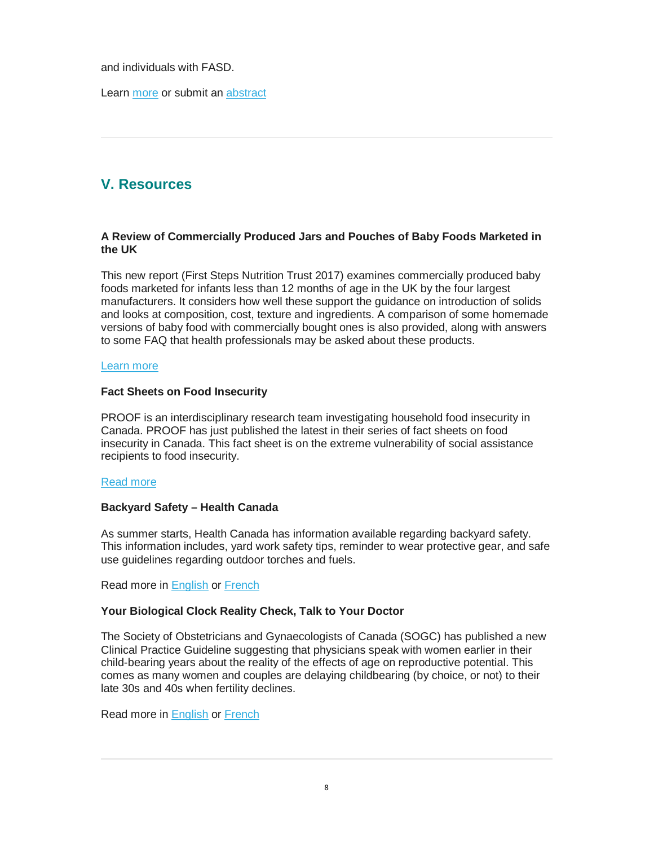and individuals with FASD.

Learn [more](http://interprofessional.ubc.ca/initiatives/adults2018/abstracts/) or submit an [abstract](http://interprofessional.ubc.ca/initiatives/adults2018/abstracts/)

# <span id="page-7-0"></span>**V. Resources**

## **A Review of Commercially Produced Jars and Pouches of Baby Foods Marketed in the UK**

This new report (First Steps Nutrition Trust 2017) examines commercially produced baby foods marketed for infants less than 12 months of age in the UK by the four largest manufacturers. It considers how well these support the guidance on introduction of solids and looks at composition, cost, texture and ingredients. A comparison of some homemade versions of baby food with commercially bought ones is also provided, along with answers to some FAQ that health professionals may be asked about these products.

### [Learn more](https://nhsforthvalley.com/wp-content/uploads/2014/02/Baby_Food_in_the_UK-_2017.pdf)

### **Fact Sheets on Food Insecurity**

PROOF is an interdisciplinary research team investigating household food insecurity in Canada. PROOF has just published the latest in their series of fact sheets on food insecurity in Canada. This fact sheet is on the extreme vulnerability of social assistance recipients to food insecurity.

#### [Read more](http://proof.utoronto.ca/resources/fact-sheets/#socialassistance)

## **Backyard Safety – Health Canada**

As summer starts, Health Canada has information available regarding backyard safety. This information includes, yard work safety tips, reminder to wear protective gear, and safe use guidelines regarding outdoor torches and fuels.

Read more in [English](https://www.canada.ca/en/health-canada/services/home-garden-safety/backyard-safety.html) or [French](https://www.canada.ca/fr/sante-canada/services/securite-maison-et-jardin/securite-votre-cour.html)

## **Your Biological Clock Reality Check, Talk to Your Doctor**

The Society of Obstetricians and Gynaecologists of Canada (SOGC) has published a new Clinical Practice Guideline suggesting that physicians speak with women earlier in their child-bearing years about the reality of the effects of age on reproductive potential. This comes as many women and couples are delaying childbearing (by choice, or not) to their late 30s and 40s when fertility declines.

Read more in [English](https://sogc.org/news-items/index.html?id=170) or [French](https://sogc.org/fr/news-items/index.html?id=170)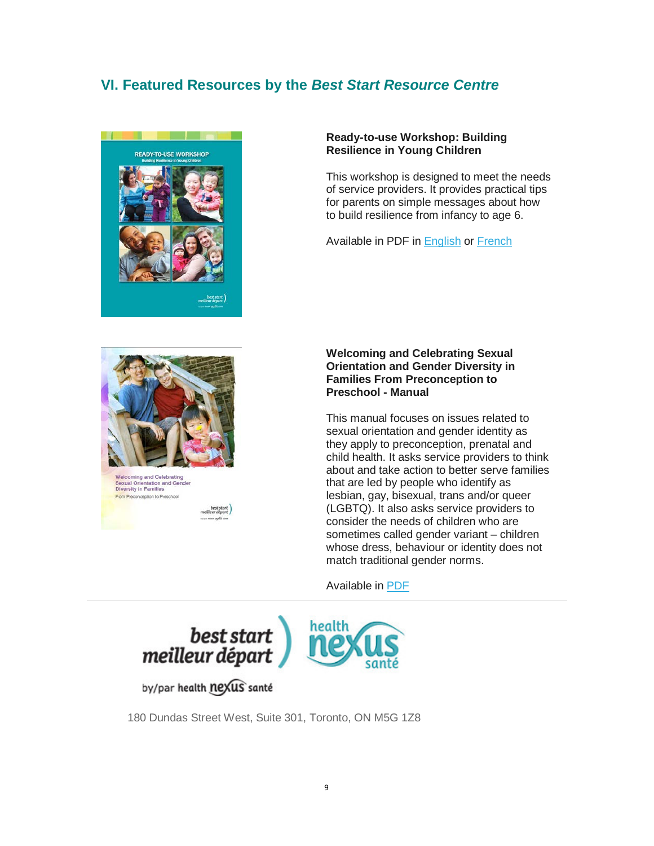# <span id="page-8-0"></span>**VI. Featured Resources by the** *Best Start Resource Centre*



#### **Ready-to-use Workshop: Building Resilience in Young Children**

This workshop is designed to meet the needs of service providers. It provides practical tips for parents on simple messages about how to build resilience from infancy to age 6.

Available in PDF in [English](http://www.beststart.org/resources/hlthy_chld_dev/BSRC_Resilience_Workbook_EN.pdf) or [French](http://www.beststart.org/resources/hlthy_chld_dev/BSRC_Resilience_Workbook_FR.pdf)



Sexual Orientation and Gender<br>Diversity in Families tion to Pres

### **Welcoming and Celebrating Sexual Orientation and Gender Diversity in Families From Preconception to Preschool - Manual**

This manual focuses on issues related to sexual orientation and gender identity as they apply to preconception, prenatal and child health. It asks service providers to think about and take action to better serve families that are led by people who identify as lesbian, gay, bisexual, trans and/or queer (LGBTQ). It also asks service providers to consider the needs of children who are sometimes called gender variant – children whose dress, behaviour or identity does not match traditional gender norms.

Available in [PDF](http://www.beststart.org/resources/howto/pdf/LGBTQ_Resource_fnl_online.pdf)



by/par health nexus santé

180 Dundas Street West, Suite 301, Toronto, ON M5G 1Z8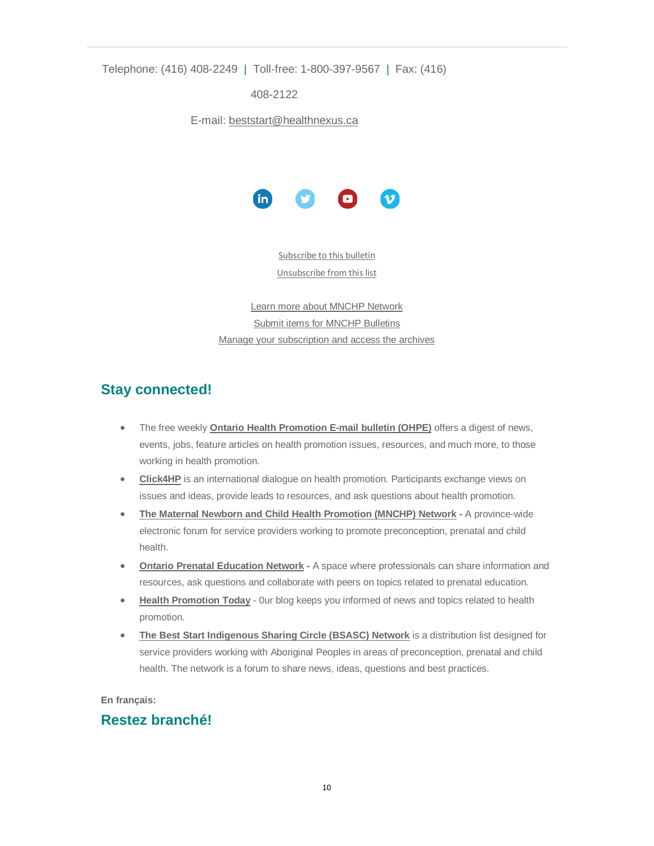Telephone: (416) 408-2249 | Toll-free: 1-800-397-9567 | Fax: (416)

408-2122

E-mail: [beststart@healthnexus.ca](mailto:beststart@healthnexus.ca?subject=Contact%20Us)



[Subscribe to this bulletin](mailto:mnchp@healthnexus.ca?subject=Subscribe%20to%20MNCHP%20bulletin%20and%20network) [Unsubscribe from this list](mailto:mnchp@healthnexus.ca?subject=Subscribe%20to%20MNCHP%20bulletin%20and%20network)

[Learn more about MNCHP Network](http://lists.beststart.org/listinfo.cgi/mnchp-beststart.org) [Submit items for MNCHP Bulletins](mailto:mnchp@healthnexus.ca) [Manage your subscription and access the archives](http://lists.beststart.org/listinfo.cgi/mnchp-beststart.org)

# **Stay connected!**

- The free weekly **[Ontario Health Promotion E-mail bulletin \(OHPE\)](http://www.ohpe.ca/)** offers a digest of news, events, jobs, feature articles on health promotion issues, resources, and much more, to those working in health promotion.
- **[Click4HP](https://listserv.yorku.ca/archives/click4hp.html)** is an international dialogue on health promotion. Participants exchange views on issues and ideas, provide leads to resources, and ask questions about health promotion.
- **[The Maternal Newborn and Child Health Promotion \(MNCHP\) Network](http://lists.beststart.org/listinfo.cgi/mnchp-beststart.org) -** A province-wide electronic forum for service providers working to promote preconception, prenatal and child health.
- **[Ontario Prenatal Education Network](http://fluidsurveys.com/surveys/ohpe/subscriptionsopen2015-2016/) -** A space where professionals can share information and resources, ask questions and collaborate with peers on topics related to prenatal education.
- **[Health Promotion Today](http://en.healthnexus.ca/)** 0ur blog keeps you informed of news and topics related to health promotion.
- **[The Best Start Indigenous Sharing Circle \(BSASC\) Network](http://lists.beststart.org/listinfo.cgi/bsasc-beststart.org)** is a distribution list designed for service providers working with Aboriginal Peoples in areas of preconception, prenatal and child health. The network is a forum to share news, ideas, questions and best practices.

**En français:**

# **Restez branché!**